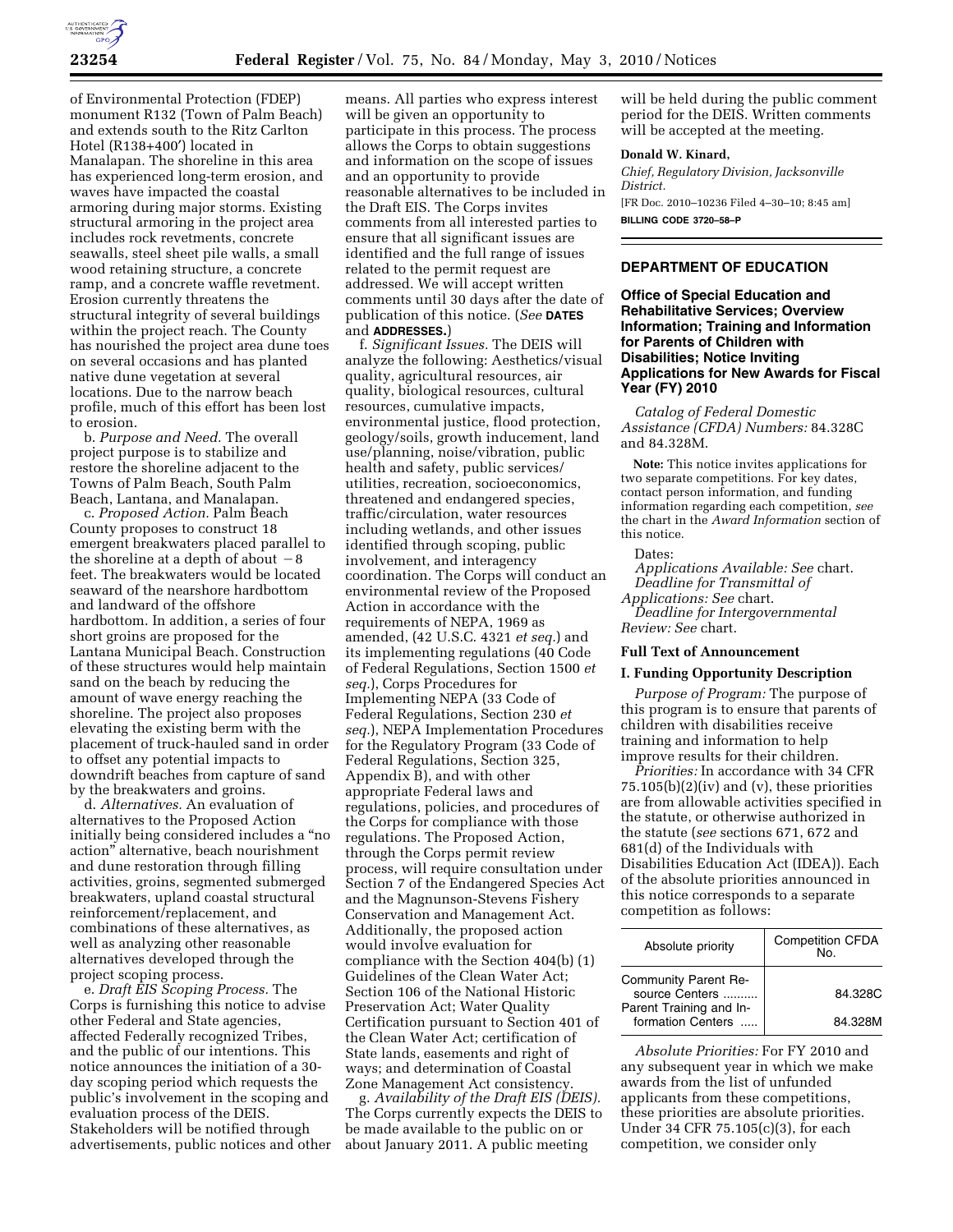

of Environmental Protection (FDEP) monument R132 (Town of Palm Beach) and extends south to the Ritz Carlton Hotel (R138+400′) located in Manalapan. The shoreline in this area has experienced long-term erosion, and waves have impacted the coastal armoring during major storms. Existing structural armoring in the project area includes rock revetments, concrete seawalls, steel sheet pile walls, a small wood retaining structure, a concrete ramp, and a concrete waffle revetment. Erosion currently threatens the structural integrity of several buildings within the project reach. The County has nourished the project area dune toes on several occasions and has planted native dune vegetation at several locations. Due to the narrow beach profile, much of this effort has been lost to erosion.

b. *Purpose and Need.* The overall project purpose is to stabilize and restore the shoreline adjacent to the Towns of Palm Beach, South Palm Beach, Lantana, and Manalapan.

c. *Proposed Action.* Palm Beach County proposes to construct 18 emergent breakwaters placed parallel to the shoreline at a depth of about  $-8$ feet. The breakwaters would be located seaward of the nearshore hardbottom and landward of the offshore hardbottom. In addition, a series of four short groins are proposed for the Lantana Municipal Beach. Construction of these structures would help maintain sand on the beach by reducing the amount of wave energy reaching the shoreline. The project also proposes elevating the existing berm with the placement of truck-hauled sand in order to offset any potential impacts to downdrift beaches from capture of sand by the breakwaters and groins.

d. *Alternatives.* An evaluation of alternatives to the Proposed Action initially being considered includes a ''no action'' alternative, beach nourishment and dune restoration through filling activities, groins, segmented submerged breakwaters, upland coastal structural reinforcement/replacement, and combinations of these alternatives, as well as analyzing other reasonable alternatives developed through the project scoping process.

e. *Draft EIS Scoping Process.* The Corps is furnishing this notice to advise other Federal and State agencies, affected Federally recognized Tribes, and the public of our intentions. This notice announces the initiation of a 30 day scoping period which requests the public's involvement in the scoping and evaluation process of the DEIS. Stakeholders will be notified through advertisements, public notices and other

means. All parties who express interest will be given an opportunity to participate in this process. The process allows the Corps to obtain suggestions and information on the scope of issues and an opportunity to provide reasonable alternatives to be included in the Draft EIS. The Corps invites comments from all interested parties to ensure that all significant issues are identified and the full range of issues related to the permit request are addressed. We will accept written comments until 30 days after the date of publication of this notice. (*See* **DATES** and **ADDRESSES.**)

f. *Significant Issues.* The DEIS will analyze the following: Aesthetics/visual quality, agricultural resources, air quality, biological resources, cultural resources, cumulative impacts, environmental justice, flood protection, geology/soils, growth inducement, land use/planning, noise/vibration, public health and safety, public services/ utilities, recreation, socioeconomics, threatened and endangered species, traffic/circulation, water resources including wetlands, and other issues identified through scoping, public involvement, and interagency coordination. The Corps will conduct an environmental review of the Proposed Action in accordance with the requirements of NEPA, 1969 as amended, (42 U.S.C. 4321 *et seq.*) and its implementing regulations (40 Code of Federal Regulations, Section 1500 *et seq.*), Corps Procedures for Implementing NEPA (33 Code of Federal Regulations, Section 230 *et seq.*), NEPA Implementation Procedures for the Regulatory Program (33 Code of Federal Regulations, Section 325, Appendix B), and with other appropriate Federal laws and regulations, policies, and procedures of the Corps for compliance with those regulations. The Proposed Action, through the Corps permit review process, will require consultation under Section 7 of the Endangered Species Act and the Magnunson-Stevens Fishery Conservation and Management Act. Additionally, the proposed action would involve evaluation for compliance with the Section 404(b) (1) Guidelines of the Clean Water Act; Section 106 of the National Historic Preservation Act; Water Quality Certification pursuant to Section 401 of the Clean Water Act; certification of State lands, easements and right of ways; and determination of Coastal Zone Management Act consistency.

g. *Availability of the Draft EIS (DEIS).*  The Corps currently expects the DEIS to be made available to the public on or about January 2011. A public meeting

will be held during the public comment period for the DEIS. Written comments will be accepted at the meeting.

#### **Donald W. Kinard,**

*Chief, Regulatory Division, Jacksonville District.*  [FR Doc. 2010–10236 Filed 4–30–10; 8:45 am] **BILLING CODE 3720–58–P** 

# **DEPARTMENT OF EDUCATION**

**Office of Special Education and Rehabilitative Services; Overview Information; Training and Information for Parents of Children with Disabilities; Notice Inviting Applications for New Awards for Fiscal Year (FY) 2010** 

*Catalog of Federal Domestic Assistance (CFDA) Numbers:* 84.328C and 84.328M.

**Note:** This notice invites applications for two separate competitions. For key dates, contact person information, and funding information regarding each competition, *see*  the chart in the *Award Information* section of this notice.

## Dates:

*Applications Available: See* chart. *Deadline for Transmittal of Applications: See* chart. *Deadline for Intergovernmental Review: See* chart.

### **Full Text of Announcement**

### **I. Funding Opportunity Description**

*Purpose of Program:* The purpose of this program is to ensure that parents of children with disabilities receive training and information to help improve results for their children.

*Priorities:* In accordance with 34 CFR  $75.105(b)(2)(iv)$  and (v), these priorities are from allowable activities specified in the statute, or otherwise authorized in the statute (*see* sections 671, 672 and 681(d) of the Individuals with Disabilities Education Act (IDEA)). Each of the absolute priorities announced in this notice corresponds to a separate competition as follows:

| Absolute priority                            | <b>Competition CFDA</b><br>N <sub>0</sub> |
|----------------------------------------------|-------------------------------------------|
| Community Parent Re-<br>source Centers       | 84.328C                                   |
| Parent Training and In-<br>formation Centers | 84.328M                                   |

*Absolute Priorities:* For FY 2010 and any subsequent year in which we make awards from the list of unfunded applicants from these competitions, these priorities are absolute priorities. Under 34 CFR 75.105(c)(3), for each competition, we consider only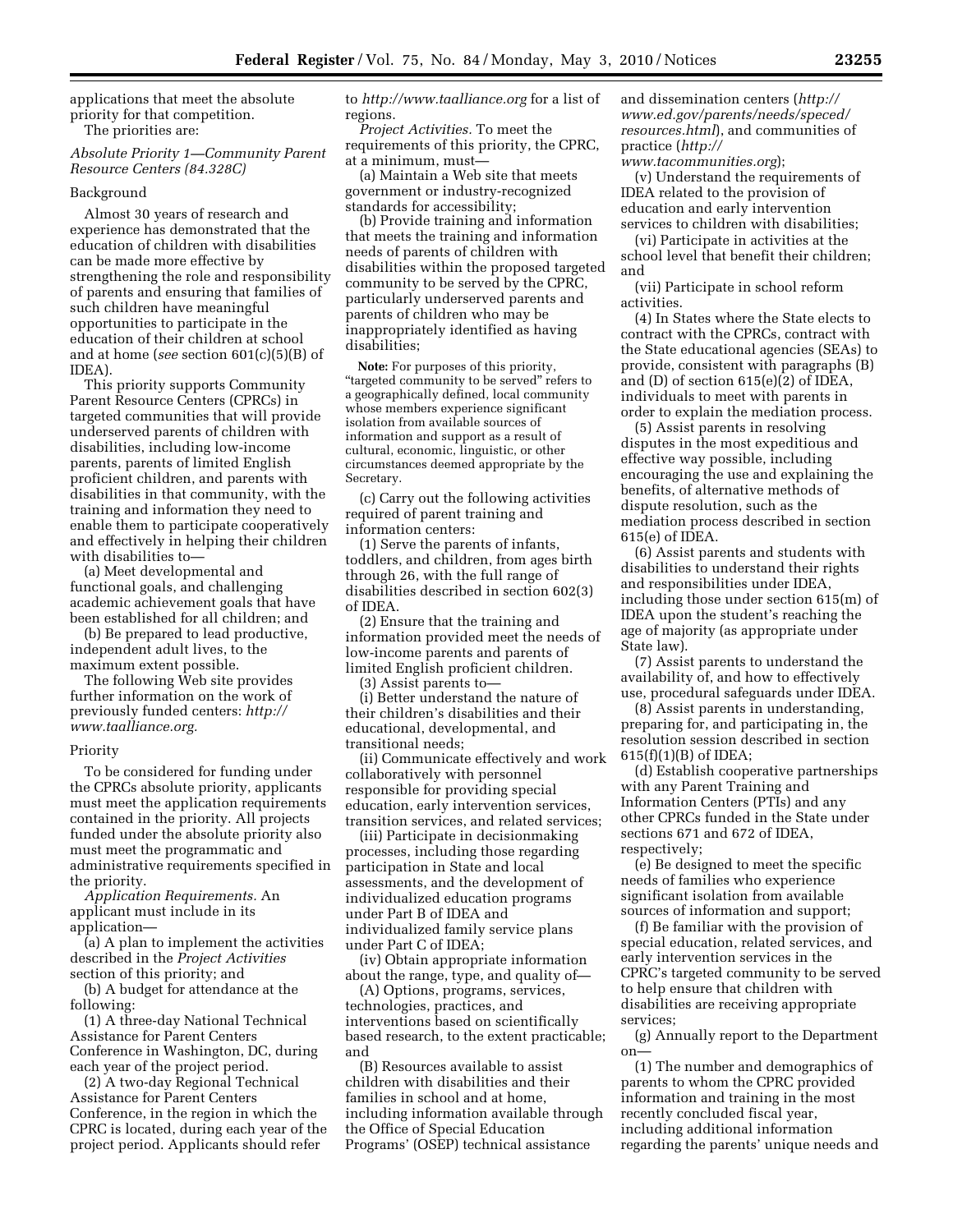applications that meet the absolute priority for that competition. The priorities are:

# *Absolute Priority 1—Community Parent Resource Centers (84.328C)*

### Background

Almost 30 years of research and experience has demonstrated that the education of children with disabilities can be made more effective by strengthening the role and responsibility of parents and ensuring that families of such children have meaningful opportunities to participate in the education of their children at school and at home (*see* section 601(c)(5)(B) of IDEA).

This priority supports Community Parent Resource Centers (CPRCs) in targeted communities that will provide underserved parents of children with disabilities, including low-income parents, parents of limited English proficient children, and parents with disabilities in that community, with the training and information they need to enable them to participate cooperatively and effectively in helping their children with disabilities to—

(a) Meet developmental and functional goals, and challenging academic achievement goals that have been established for all children; and

(b) Be prepared to lead productive, independent adult lives, to the maximum extent possible.

The following Web site provides further information on the work of previously funded centers: *http:// www.taalliance.org.* 

### Priority

To be considered for funding under the CPRCs absolute priority, applicants must meet the application requirements contained in the priority. All projects funded under the absolute priority also must meet the programmatic and administrative requirements specified in the priority.

*Application Requirements.* An applicant must include in its application—

(a) A plan to implement the activities described in the *Project Activities*  section of this priority; and

(b) A budget for attendance at the following:

(1) A three-day National Technical Assistance for Parent Centers Conference in Washington, DC, during each year of the project period.

(2) A two-day Regional Technical Assistance for Parent Centers Conference, in the region in which the CPRC is located, during each year of the project period. Applicants should refer

to *http://www.taalliance.org* for a list of regions.

*Project Activities.* To meet the requirements of this priority, the CPRC, at a minimum, must—

(a) Maintain a Web site that meets government or industry-recognized standards for accessibility;

(b) Provide training and information that meets the training and information needs of parents of children with disabilities within the proposed targeted community to be served by the CPRC, particularly underserved parents and parents of children who may be inappropriately identified as having disabilities;

**Note:** For purposes of this priority, "targeted community to be served" refers to a geographically defined, local community whose members experience significant isolation from available sources of information and support as a result of cultural, economic, linguistic, or other circumstances deemed appropriate by the Secretary.

(c) Carry out the following activities required of parent training and information centers:

(1) Serve the parents of infants, toddlers, and children, from ages birth through 26, with the full range of disabilities described in section 602(3) of IDEA.

(2) Ensure that the training and information provided meet the needs of low-income parents and parents of limited English proficient children.

(3) Assist parents to—

(i) Better understand the nature of their children's disabilities and their educational, developmental, and transitional needs;

(ii) Communicate effectively and work collaboratively with personnel responsible for providing special education, early intervention services, transition services, and related services;

(iii) Participate in decisionmaking processes, including those regarding participation in State and local assessments, and the development of individualized education programs under Part B of IDEA and individualized family service plans under Part C of IDEA;

(iv) Obtain appropriate information about the range, type, and quality of—

(A) Options, programs, services, technologies, practices, and interventions based on scientifically based research, to the extent practicable; and

(B) Resources available to assist children with disabilities and their families in school and at home, including information available through the Office of Special Education Programs' (OSEP) technical assistance

and dissemination centers (*http:// www.ed.gov/parents/needs/speced/ resources.html*), and communities of practice (*http://* 

*www.tacommunities.org*);

(v) Understand the requirements of IDEA related to the provision of education and early intervention services to children with disabilities;

(vi) Participate in activities at the school level that benefit their children; and

(vii) Participate in school reform activities.

(4) In States where the State elects to contract with the CPRCs, contract with the State educational agencies (SEAs) to provide, consistent with paragraphs (B) and (D) of section 615(e)(2) of IDEA, individuals to meet with parents in order to explain the mediation process.

(5) Assist parents in resolving disputes in the most expeditious and effective way possible, including encouraging the use and explaining the benefits, of alternative methods of dispute resolution, such as the mediation process described in section 615(e) of IDEA.

(6) Assist parents and students with disabilities to understand their rights and responsibilities under IDEA, including those under section 615(m) of IDEA upon the student's reaching the age of majority (as appropriate under State law).

(7) Assist parents to understand the availability of, and how to effectively use, procedural safeguards under IDEA.

(8) Assist parents in understanding, preparing for, and participating in, the resolution session described in section 615(f)(1)(B) of IDEA;

(d) Establish cooperative partnerships with any Parent Training and Information Centers (PTIs) and any other CPRCs funded in the State under sections 671 and 672 of IDEA, respectively;

(e) Be designed to meet the specific needs of families who experience significant isolation from available sources of information and support;

(f) Be familiar with the provision of special education, related services, and early intervention services in the CPRC's targeted community to be served to help ensure that children with disabilities are receiving appropriate services;

(g) Annually report to the Department on—

(1) The number and demographics of parents to whom the CPRC provided information and training in the most recently concluded fiscal year, including additional information regarding the parents' unique needs and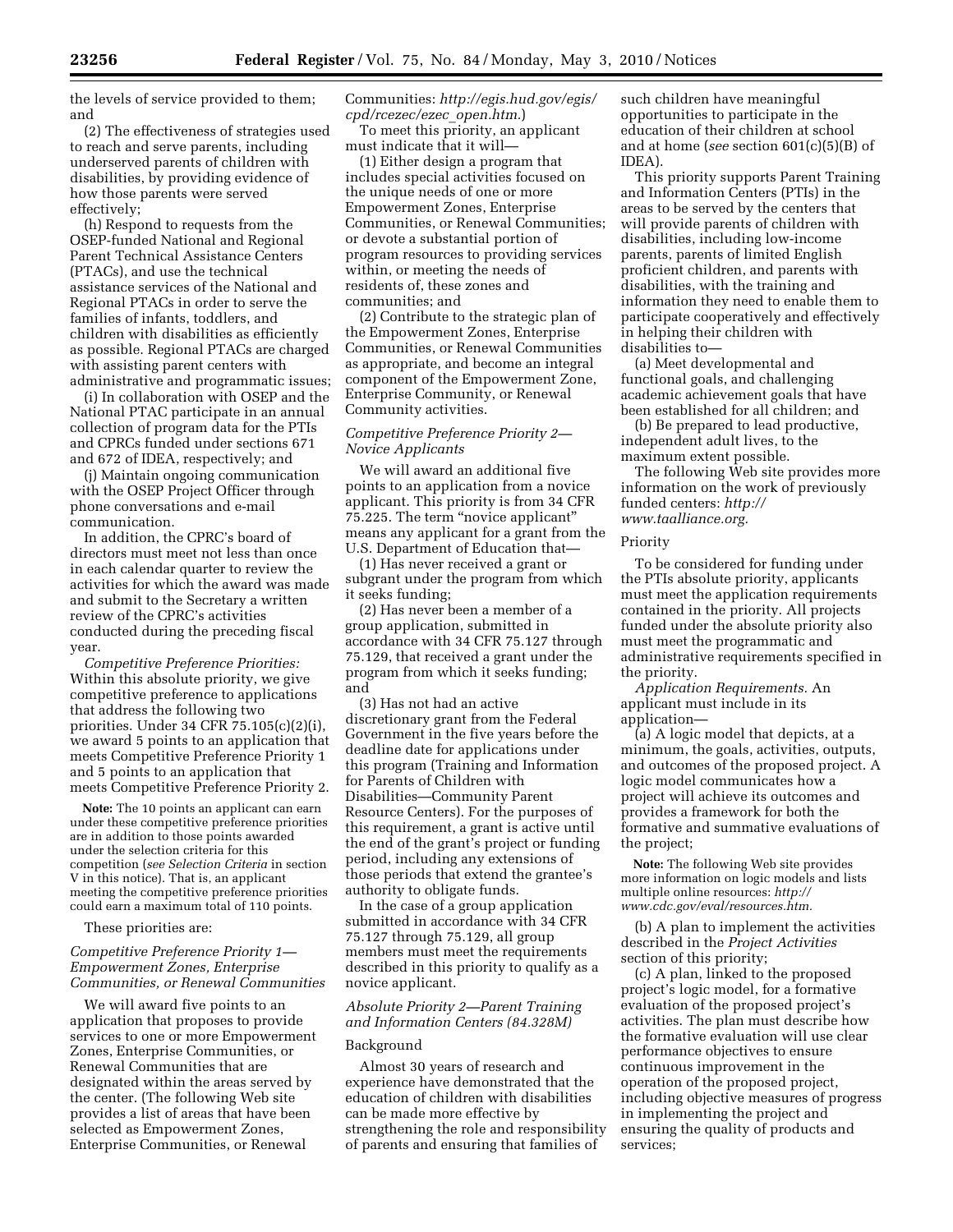the levels of service provided to them; and

(2) The effectiveness of strategies used to reach and serve parents, including underserved parents of children with disabilities, by providing evidence of how those parents were served effectively;

(h) Respond to requests from the OSEP-funded National and Regional Parent Technical Assistance Centers (PTACs), and use the technical assistance services of the National and Regional PTACs in order to serve the families of infants, toddlers, and children with disabilities as efficiently as possible. Regional PTACs are charged with assisting parent centers with administrative and programmatic issues;

(i) In collaboration with OSEP and the National PTAC participate in an annual collection of program data for the PTIs and CPRCs funded under sections 671 and 672 of IDEA, respectively; and

(j) Maintain ongoing communication with the OSEP Project Officer through phone conversations and e-mail communication.

In addition, the CPRC's board of directors must meet not less than once in each calendar quarter to review the activities for which the award was made and submit to the Secretary a written review of the CPRC's activities conducted during the preceding fiscal year.

*Competitive Preference Priorities:*  Within this absolute priority, we give competitive preference to applications that address the following two priorities. Under 34 CFR 75.105(c)(2)(i), we award 5 points to an application that meets Competitive Preference Priority 1 and 5 points to an application that meets Competitive Preference Priority 2.

**Note:** The 10 points an applicant can earn under these competitive preference priorities are in addition to those points awarded under the selection criteria for this competition (*see Selection Criteria* in section V in this notice). That is, an applicant meeting the competitive preference priorities could earn a maximum total of 110 points.

These priorities are:

# *Competitive Preference Priority 1— Empowerment Zones, Enterprise Communities, or Renewal Communities*

We will award five points to an application that proposes to provide services to one or more Empowerment Zones, Enterprise Communities, or Renewal Communities that are designated within the areas served by the center. (The following Web site provides a list of areas that have been selected as Empowerment Zones, Enterprise Communities, or Renewal

Communities: *http://egis.hud.gov/egis/ cpd/rcezec/ezec*\_*open.htm.*)

To meet this priority, an applicant must indicate that it will—

(1) Either design a program that includes special activities focused on the unique needs of one or more Empowerment Zones, Enterprise Communities, or Renewal Communities; or devote a substantial portion of program resources to providing services within, or meeting the needs of residents of, these zones and communities; and

(2) Contribute to the strategic plan of the Empowerment Zones, Enterprise Communities, or Renewal Communities as appropriate, and become an integral component of the Empowerment Zone, Enterprise Community, or Renewal Community activities.

# *Competitive Preference Priority 2— Novice Applicants*

We will award an additional five points to an application from a novice applicant. This priority is from 34 CFR 75.225. The term "novice applicant" means any applicant for a grant from the U.S. Department of Education that—

(1) Has never received a grant or subgrant under the program from which it seeks funding;

(2) Has never been a member of a group application, submitted in accordance with 34 CFR 75.127 through 75.129, that received a grant under the program from which it seeks funding; and

(3) Has not had an active discretionary grant from the Federal Government in the five years before the deadline date for applications under this program (Training and Information for Parents of Children with Disabilities—Community Parent Resource Centers). For the purposes of this requirement, a grant is active until the end of the grant's project or funding period, including any extensions of those periods that extend the grantee's authority to obligate funds.

In the case of a group application submitted in accordance with 34 CFR 75.127 through 75.129, all group members must meet the requirements described in this priority to qualify as a novice applicant.

# *Absolute Priority 2—Parent Training and Information Centers (84.328M)*

### Background

Almost 30 years of research and experience have demonstrated that the education of children with disabilities can be made more effective by strengthening the role and responsibility of parents and ensuring that families of

such children have meaningful opportunities to participate in the education of their children at school and at home (*see* section 601(c)(5)(B) of IDEA).

This priority supports Parent Training and Information Centers (PTIs) in the areas to be served by the centers that will provide parents of children with disabilities, including low-income parents, parents of limited English proficient children, and parents with disabilities, with the training and information they need to enable them to participate cooperatively and effectively in helping their children with disabilities to—

(a) Meet developmental and functional goals, and challenging academic achievement goals that have been established for all children; and

(b) Be prepared to lead productive, independent adult lives, to the maximum extent possible.

The following Web site provides more information on the work of previously funded centers: *http:// www.taalliance.org.* 

### Priority

To be considered for funding under the PTIs absolute priority, applicants must meet the application requirements contained in the priority. All projects funded under the absolute priority also must meet the programmatic and administrative requirements specified in the priority.

*Application Requirements.* An applicant must include in its application—

(a) A logic model that depicts, at a minimum, the goals, activities, outputs, and outcomes of the proposed project. A logic model communicates how a project will achieve its outcomes and provides a framework for both the formative and summative evaluations of the project;

**Note:** The following Web site provides more information on logic models and lists multiple online resources: *http:// www.cdc.gov/eval/resources.htm.* 

(b) A plan to implement the activities described in the *Project Activities*  section of this priority;

(c) A plan, linked to the proposed project's logic model, for a formative evaluation of the proposed project's activities. The plan must describe how the formative evaluation will use clear performance objectives to ensure continuous improvement in the operation of the proposed project, including objective measures of progress in implementing the project and ensuring the quality of products and services;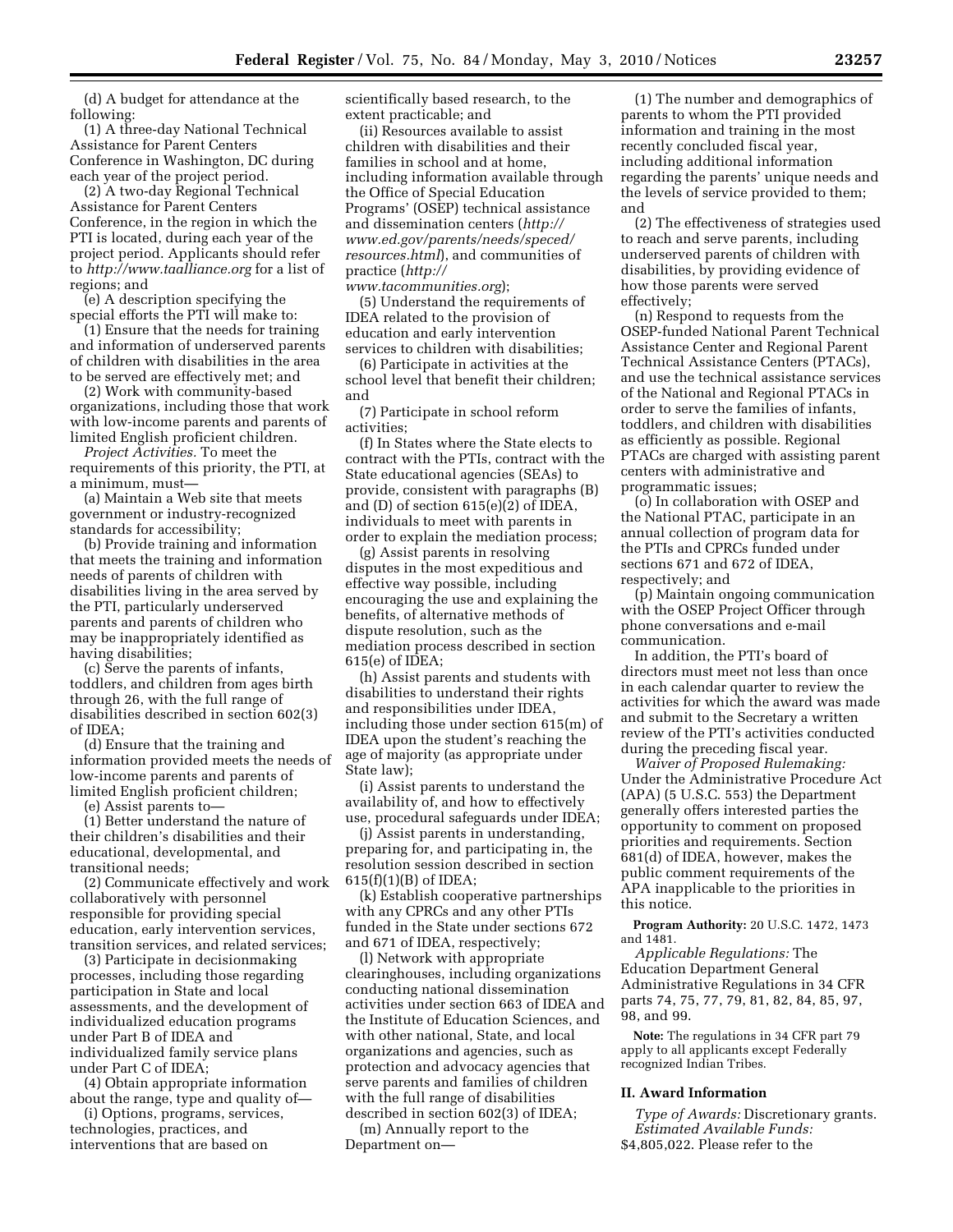(d) A budget for attendance at the following:

(1) A three-day National Technical Assistance for Parent Centers Conference in Washington, DC during each year of the project period.

(2) A two-day Regional Technical Assistance for Parent Centers Conference, in the region in which the PTI is located, during each year of the project period. Applicants should refer to *http://www.taalliance.org* for a list of regions; and

(e) A description specifying the special efforts the PTI will make to:

(1) Ensure that the needs for training and information of underserved parents of children with disabilities in the area to be served are effectively met; and

(2) Work with community-based organizations, including those that work with low-income parents and parents of limited English proficient children.

*Project Activities.* To meet the requirements of this priority, the PTI, at a minimum, must—

(a) Maintain a Web site that meets government or industry-recognized standards for accessibility;

(b) Provide training and information that meets the training and information needs of parents of children with disabilities living in the area served by the PTI, particularly underserved parents and parents of children who may be inappropriately identified as having disabilities;

(c) Serve the parents of infants, toddlers, and children from ages birth through 26, with the full range of disabilities described in section 602(3) of IDEA;

(d) Ensure that the training and information provided meets the needs of low-income parents and parents of limited English proficient children;

(e) Assist parents to—

(1) Better understand the nature of their children's disabilities and their educational, developmental, and transitional needs;

(2) Communicate effectively and work collaboratively with personnel responsible for providing special education, early intervention services, transition services, and related services;

(3) Participate in decisionmaking processes, including those regarding participation in State and local assessments, and the development of individualized education programs under Part B of IDEA and individualized family service plans under Part C of IDEA;

(4) Obtain appropriate information about the range, type and quality of—

(i) Options, programs, services, technologies, practices, and interventions that are based on

scientifically based research, to the extent practicable; and

(ii) Resources available to assist children with disabilities and their families in school and at home, including information available through the Office of Special Education Programs' (OSEP) technical assistance and dissemination centers (*http:// www.ed.gov/parents/needs/speced/ resources.html*), and communities of practice (*http://* 

*www.tacommunities.org*); (5) Understand the requirements of IDEA related to the provision of education and early intervention services to children with disabilities;

(6) Participate in activities at the school level that benefit their children; and

(7) Participate in school reform activities;

(f) In States where the State elects to contract with the PTIs, contract with the State educational agencies (SEAs) to provide, consistent with paragraphs (B) and (D) of section 615(e)(2) of IDEA, individuals to meet with parents in order to explain the mediation process;

(g) Assist parents in resolving disputes in the most expeditious and effective way possible, including encouraging the use and explaining the benefits, of alternative methods of dispute resolution, such as the mediation process described in section 615(e) of IDEA;

(h) Assist parents and students with disabilities to understand their rights and responsibilities under IDEA, including those under section 615(m) of IDEA upon the student's reaching the age of majority (as appropriate under State law);

(i) Assist parents to understand the availability of, and how to effectively use, procedural safeguards under IDEA;

(j) Assist parents in understanding, preparing for, and participating in, the resolution session described in section 615(f)(1)(B) of IDEA;

(k) Establish cooperative partnerships with any CPRCs and any other PTIs funded in the State under sections 672 and 671 of IDEA, respectively;

(l) Network with appropriate clearinghouses, including organizations conducting national dissemination activities under section 663 of IDEA and the Institute of Education Sciences, and with other national, State, and local organizations and agencies, such as protection and advocacy agencies that serve parents and families of children with the full range of disabilities described in section 602(3) of IDEA;

(m) Annually report to the Department on—

(1) The number and demographics of parents to whom the PTI provided information and training in the most recently concluded fiscal year, including additional information regarding the parents' unique needs and the levels of service provided to them; and

(2) The effectiveness of strategies used to reach and serve parents, including underserved parents of children with disabilities, by providing evidence of how those parents were served effectively;

(n) Respond to requests from the OSEP-funded National Parent Technical Assistance Center and Regional Parent Technical Assistance Centers (PTACs), and use the technical assistance services of the National and Regional PTACs in order to serve the families of infants, toddlers, and children with disabilities as efficiently as possible. Regional PTACs are charged with assisting parent centers with administrative and programmatic issues;

(o) In collaboration with OSEP and the National PTAC, participate in an annual collection of program data for the PTIs and CPRCs funded under sections 671 and 672 of IDEA, respectively; and

(p) Maintain ongoing communication with the OSEP Project Officer through phone conversations and e-mail communication.

In addition, the PTI's board of directors must meet not less than once in each calendar quarter to review the activities for which the award was made and submit to the Secretary a written review of the PTI's activities conducted during the preceding fiscal year.

*Waiver of Proposed Rulemaking:*  Under the Administrative Procedure Act (APA) (5 U.S.C. 553) the Department generally offers interested parties the opportunity to comment on proposed priorities and requirements. Section 681(d) of IDEA, however, makes the public comment requirements of the APA inapplicable to the priorities in this notice.

**Program Authority:** 20 U.S.C. 1472, 1473 and 1481.

*Applicable Regulations:* The Education Department General Administrative Regulations in 34 CFR parts 74, 75, 77, 79, 81, 82, 84, 85, 97, 98, and 99.

**Note:** The regulations in 34 CFR part 79 apply to all applicants except Federally recognized Indian Tribes.

### **II. Award Information**

*Type of Awards:* Discretionary grants. *Estimated Available Funds:*  \$4,805,022. Please refer to the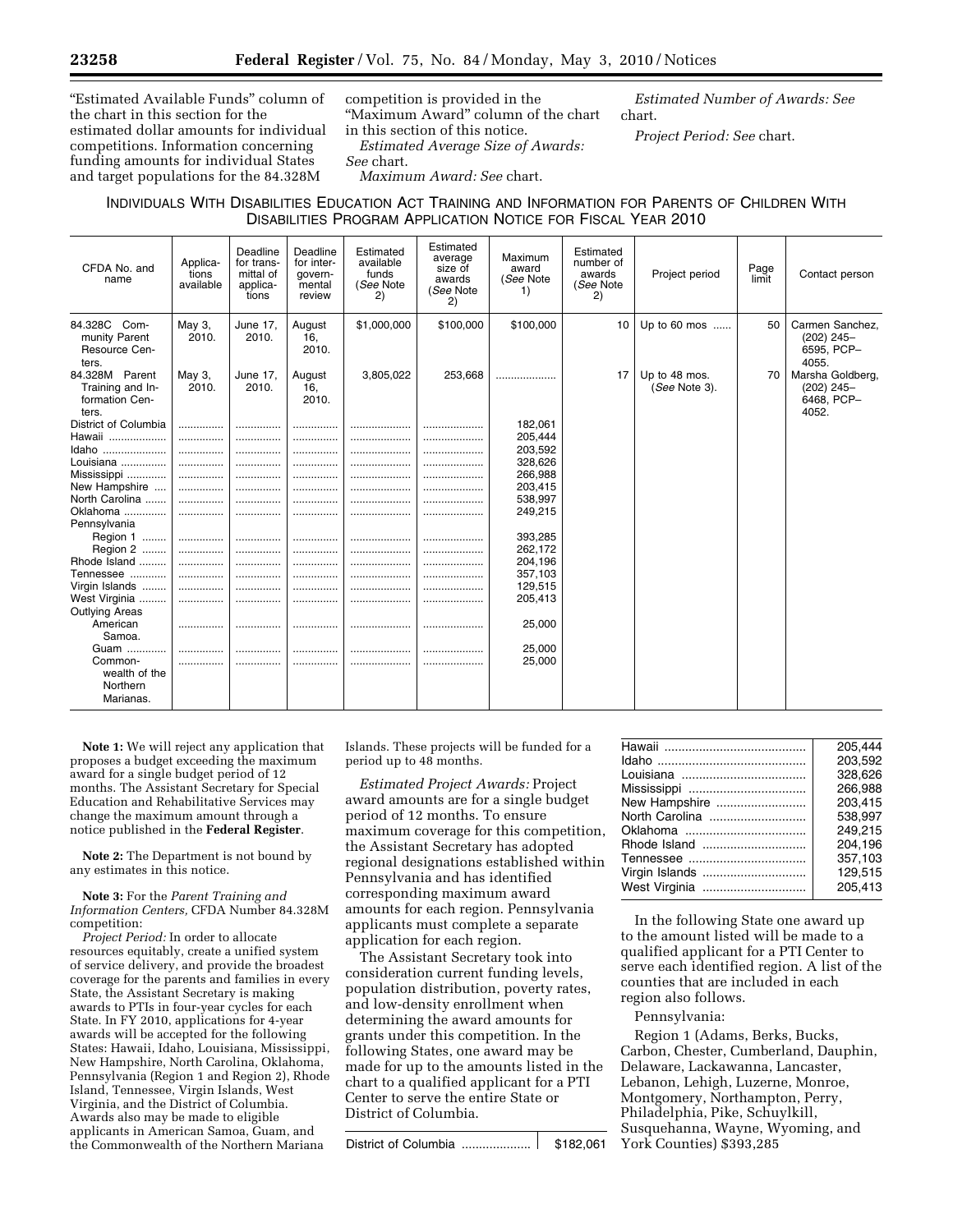''Estimated Available Funds'' column of the chart in this section for the estimated dollar amounts for individual competitions. Information concerning funding amounts for individual States and target populations for the 84.328M

competition is provided in the ''Maximum Award'' column of the chart in this section of this notice.

*Estimated Average Size of Awards: See* chart.

*Maximum Award: See* chart.

INDIVIDUALS WITH DISABILITIES EDUCATION ACT TRAINING AND INFORMATION FOR PARENTS OF CHILDREN WITH DISABILITIES PROGRAM APPLICATION NOTICE FOR FISCAL YEAR 2010

| CFDA No. and<br>name                                          | Applica-<br>tions<br>available | Deadline<br>for trans-<br>mittal of<br>applica-<br>tions | Deadline<br>for inter-<br>govern-<br>mental<br>review | Estimated<br>available<br>funds<br>(See Note<br>2) | Estimated<br>average<br>size of<br>awards<br>(See Note<br>2) | Maximum<br>award<br>(See Note<br>1) | Estimated<br>number of<br>awards<br>(See Note<br>2) | Project period                 | Page<br>limit | Contact person                                          |
|---------------------------------------------------------------|--------------------------------|----------------------------------------------------------|-------------------------------------------------------|----------------------------------------------------|--------------------------------------------------------------|-------------------------------------|-----------------------------------------------------|--------------------------------|---------------|---------------------------------------------------------|
| 84.328C<br>Com-<br>munity Parent<br>Resource Cen-<br>ters.    | May 3,<br>2010.                | June 17,<br>2010.                                        | August<br>16.<br>2010.                                | \$1,000,000                                        | \$100,000                                                    | \$100,000                           | 10                                                  | Up to 60 mos                   | 50            | Carmen Sanchez.<br>$(202)$ 245-<br>6595. PCP-<br>4055.  |
| 84.328M Parent<br>Training and In-<br>formation Cen-<br>ters. | May 3,<br>2010.                | June 17,<br>2010.                                        | August<br>16,<br>2010.                                | 3,805,022                                          | 253.668                                                      |                                     | 17                                                  | Up to 48 mos.<br>(See Note 3). | 70            | Marsha Goldberg,<br>$(202)$ 245-<br>6468, PCP-<br>4052. |
| District of Columbia                                          | .                              |                                                          |                                                       |                                                    | .                                                            | 182,061                             |                                                     |                                |               |                                                         |
| Hawaii                                                        | .                              |                                                          | .                                                     |                                                    |                                                              | 205,444                             |                                                     |                                |               |                                                         |
| Idaho                                                         | .                              | .                                                        | .                                                     |                                                    | .                                                            | 203,592                             |                                                     |                                |               |                                                         |
| Louisiana                                                     | .                              |                                                          |                                                       |                                                    | .                                                            | 328,626                             |                                                     |                                |               |                                                         |
| Mississippi                                                   | .                              |                                                          |                                                       |                                                    | .                                                            | 266,988                             |                                                     |                                |               |                                                         |
| New Hampshire                                                 | .                              |                                                          |                                                       |                                                    |                                                              | 203,415                             |                                                     |                                |               |                                                         |
| North Carolina                                                | .                              |                                                          |                                                       |                                                    |                                                              | 538.997                             |                                                     |                                |               |                                                         |
| Oklahoma                                                      |                                |                                                          | .                                                     |                                                    | .                                                            | 249,215                             |                                                     |                                |               |                                                         |
| Pennsylvania                                                  |                                |                                                          |                                                       |                                                    |                                                              |                                     |                                                     |                                |               |                                                         |
| Region 1                                                      | .                              |                                                          |                                                       |                                                    |                                                              | 393,285                             |                                                     |                                |               |                                                         |
| Region 2                                                      | .                              |                                                          |                                                       |                                                    |                                                              | 262,172                             |                                                     |                                |               |                                                         |
| Rhode Island                                                  |                                |                                                          | .                                                     |                                                    |                                                              | 204,196                             |                                                     |                                |               |                                                         |
| Tennessee                                                     |                                |                                                          |                                                       |                                                    |                                                              | 357,103                             |                                                     |                                |               |                                                         |
| Virgin Islands                                                |                                |                                                          |                                                       |                                                    |                                                              | 129,515                             |                                                     |                                |               |                                                         |
| West Virginia                                                 | .                              | .                                                        |                                                       |                                                    |                                                              | 205,413                             |                                                     |                                |               |                                                         |
| Outlying Areas                                                |                                |                                                          |                                                       |                                                    |                                                              |                                     |                                                     |                                |               |                                                         |
| American                                                      |                                |                                                          |                                                       |                                                    | .                                                            | 25,000                              |                                                     |                                |               |                                                         |
| Samoa.                                                        |                                |                                                          |                                                       |                                                    |                                                              |                                     |                                                     |                                |               |                                                         |
| Guam                                                          | .                              |                                                          | .                                                     |                                                    |                                                              | 25,000                              |                                                     |                                |               |                                                         |
| Common-                                                       |                                |                                                          |                                                       |                                                    |                                                              | 25,000                              |                                                     |                                |               |                                                         |
| wealth of the                                                 |                                |                                                          |                                                       |                                                    |                                                              |                                     |                                                     |                                |               |                                                         |
| Northern                                                      |                                |                                                          |                                                       |                                                    |                                                              |                                     |                                                     |                                |               |                                                         |
| Marianas.                                                     |                                |                                                          |                                                       |                                                    |                                                              |                                     |                                                     |                                |               |                                                         |
|                                                               |                                |                                                          |                                                       |                                                    |                                                              |                                     |                                                     |                                |               |                                                         |

**Note 1:** We will reject any application that proposes a budget exceeding the maximum award for a single budget period of 12 months. The Assistant Secretary for Special Education and Rehabilitative Services may change the maximum amount through a notice published in the **Federal Register**.

**Note 2:** The Department is not bound by any estimates in this notice.

**Note 3:** For the *Parent Training and Information Centers,* CFDA Number 84.328M competition:

*Project Period:* In order to allocate resources equitably, create a unified system of service delivery, and provide the broadest coverage for the parents and families in every State, the Assistant Secretary is making awards to PTIs in four-year cycles for each State. In FY 2010, applications for 4-year awards will be accepted for the following States: Hawaii, Idaho, Louisiana, Mississippi, New Hampshire, North Carolina, Oklahoma, Pennsylvania (Region 1 and Region 2), Rhode Island, Tennessee, Virgin Islands, West Virginia, and the District of Columbia. Awards also may be made to eligible applicants in American Samoa, Guam, and the Commonwealth of the Northern Mariana

Islands. These projects will be funded for a period up to 48 months.

*Estimated Project Awards:* Project award amounts are for a single budget period of 12 months. To ensure maximum coverage for this competition, the Assistant Secretary has adopted regional designations established within Pennsylvania and has identified corresponding maximum award amounts for each region. Pennsylvania applicants must complete a separate application for each region.

The Assistant Secretary took into consideration current funding levels, population distribution, poverty rates, and low-density enrollment when determining the award amounts for grants under this competition. In the following States, one award may be made for up to the amounts listed in the chart to a qualified applicant for a PTI Center to serve the entire State or District of Columbia.

|                | 205.444 |
|----------------|---------|
|                | 203.592 |
|                | 328,626 |
|                | 266.988 |
| New Hampshire  | 203.415 |
| North Carolina | 538.997 |
|                | 249.215 |
|                | 204.196 |
|                | 357.103 |
| Virgin Islands | 129.515 |
| West Virginia  | 205.413 |
|                |         |

*Estimated Number of Awards: See* 

*Project Period: See* chart.

chart.

In the following State one award up to the amount listed will be made to a qualified applicant for a PTI Center to serve each identified region. A list of the counties that are included in each region also follows.

Pennsylvania:

Region 1 (Adams, Berks, Bucks, Carbon, Chester, Cumberland, Dauphin, Delaware, Lackawanna, Lancaster, Lebanon, Lehigh, Luzerne, Monroe, Montgomery, Northampton, Perry, Philadelphia, Pike, Schuylkill, Susquehanna, Wayne, Wyoming, and York Counties) \$393,285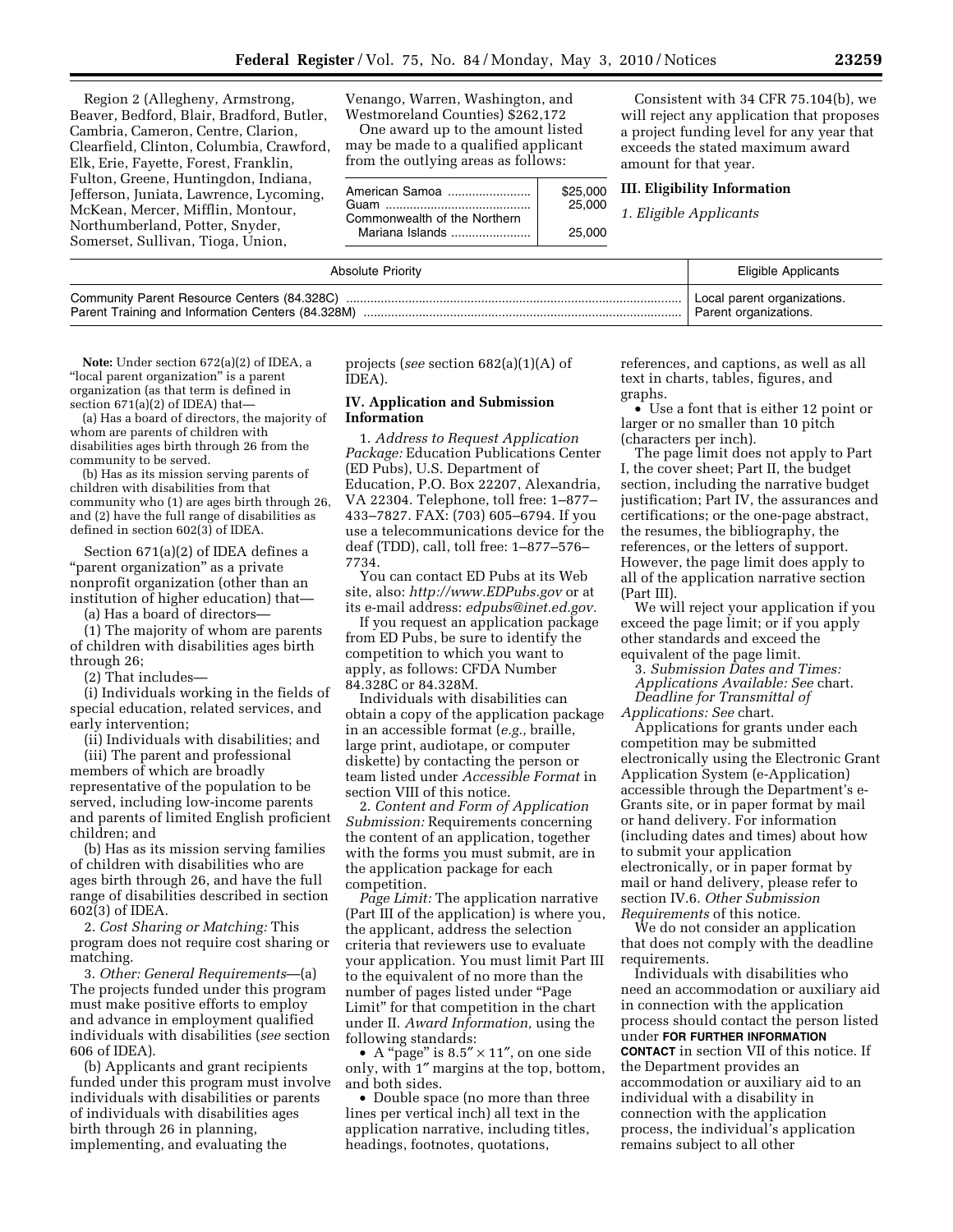Region 2 (Allegheny, Armstrong, Beaver, Bedford, Blair, Bradford, Butler, Cambria, Cameron, Centre, Clarion, Clearfield, Clinton, Columbia, Crawford, Elk, Erie, Fayette, Forest, Franklin, Fulton, Greene, Huntingdon, Indiana, Jefferson, Juniata, Lawrence, Lycoming, McKean, Mercer, Mifflin, Montour, Northumberland, Potter, Snyder, Somerset, Sullivan, Tioga, Union,

Venango, Warren, Washington, and Westmoreland Counties) \$262,172

One award up to the amount listed may be made to a qualified applicant from the outlying areas as follows:

| American Samoa               | \$25,000 |
|------------------------------|----------|
| Guam                         | 25,000   |
| Commonwealth of the Northern |          |
| Mariana Islands              | 25.000   |

Consistent with 34 CFR 75.104(b), we will reject any application that proposes a project funding level for any year that exceeds the stated maximum award amount for that year.

**III. Eligibility Information** 

*1. Eligible Applicants* 

| <b>Absolute Priority</b>                    | Eligible Applicants         |
|---------------------------------------------|-----------------------------|
| Community Parent Resource Centers (84.328C) | Local parent organizations. |
|                                             | Parent organizations.       |

**Note:** Under section 672(a)(2) of IDEA, a "local parent organization" is a parent organization (as that term is defined in section 671(a)(2) of IDEA) that—

(a) Has a board of directors, the majority of whom are parents of children with disabilities ages birth through 26 from the community to be served.

(b) Has as its mission serving parents of children with disabilities from that community who (1) are ages birth through 26, and (2) have the full range of disabilities as defined in section 602(3) of IDEA.

Section 671(a)(2) of IDEA defines a "parent organization" as a private nonprofit organization (other than an institution of higher education) that—

(a) Has a board of directors—

(1) The majority of whom are parents of children with disabilities ages birth through 26;

(2) That includes—

(i) Individuals working in the fields of special education, related services, and early intervention;

(ii) Individuals with disabilities; and

(iii) The parent and professional members of which are broadly representative of the population to be served, including low-income parents and parents of limited English proficient children; and

(b) Has as its mission serving families of children with disabilities who are ages birth through 26, and have the full range of disabilities described in section 602(3) of IDEA.

2. *Cost Sharing or Matching:* This program does not require cost sharing or matching.

3. *Other: General Requirements*—(a) The projects funded under this program must make positive efforts to employ and advance in employment qualified individuals with disabilities (*see* section 606 of IDEA).

(b) Applicants and grant recipients funded under this program must involve individuals with disabilities or parents of individuals with disabilities ages birth through 26 in planning, implementing, and evaluating the

projects (*see* section 682(a)(1)(A) of IDEA).

# **IV. Application and Submission Information**

1. *Address to Request Application Package:* Education Publications Center (ED Pubs), U.S. Department of Education, P.O. Box 22207, Alexandria, VA 22304. Telephone, toll free: 1–877– 433–7827. FAX: (703) 605–6794. If you use a telecommunications device for the deaf (TDD), call, toll free: 1–877–576– 7734.

You can contact ED Pubs at its Web site, also: *http://www.EDPubs.gov* or at its e-mail address: *edpubs@inet.ed.gov.* 

If you request an application package from ED Pubs, be sure to identify the competition to which you want to apply, as follows: CFDA Number 84.328C or 84.328M.

Individuals with disabilities can obtain a copy of the application package in an accessible format (*e.g.,* braille, large print, audiotape, or computer diskette) by contacting the person or team listed under *Accessible Format* in section VIII of this notice.

2. *Content and Form of Application Submission:* Requirements concerning the content of an application, together with the forms you must submit, are in the application package for each competition.

*Page Limit:* The application narrative (Part III of the application) is where you, the applicant, address the selection criteria that reviewers use to evaluate your application. You must limit Part III to the equivalent of no more than the number of pages listed under ''Page Limit'' for that competition in the chart under II. *Award Information,* using the following standards:

• A "page" is  $8.5" \times 11"$ , on one side only, with 1″ margins at the top, bottom, and both sides.

• Double space (no more than three lines per vertical inch) all text in the application narrative, including titles, headings, footnotes, quotations,

references, and captions, as well as all text in charts, tables, figures, and graphs.

• Use a font that is either 12 point or larger or no smaller than 10 pitch (characters per inch).

The page limit does not apply to Part I, the cover sheet; Part II, the budget section, including the narrative budget justification; Part IV, the assurances and certifications; or the one-page abstract, the resumes, the bibliography, the references, or the letters of support. However, the page limit does apply to all of the application narrative section (Part III).

We will reject your application if you exceed the page limit; or if you apply other standards and exceed the equivalent of the page limit.

3. *Submission Dates and Times:* 

*Applications Available: See* chart.

*Deadline for Transmittal of* 

*Applications: See* chart.

Applications for grants under each competition may be submitted electronically using the Electronic Grant Application System (e-Application) accessible through the Department's e-Grants site, or in paper format by mail or hand delivery. For information (including dates and times) about how to submit your application electronically, or in paper format by mail or hand delivery, please refer to section IV.6. *Other Submission Requirements* of this notice.

We do not consider an application that does not comply with the deadline requirements.

Individuals with disabilities who need an accommodation or auxiliary aid in connection with the application process should contact the person listed under **FOR FURTHER INFORMATION CONTACT** in section VII of this notice. If the Department provides an accommodation or auxiliary aid to an individual with a disability in connection with the application process, the individual's application remains subject to all other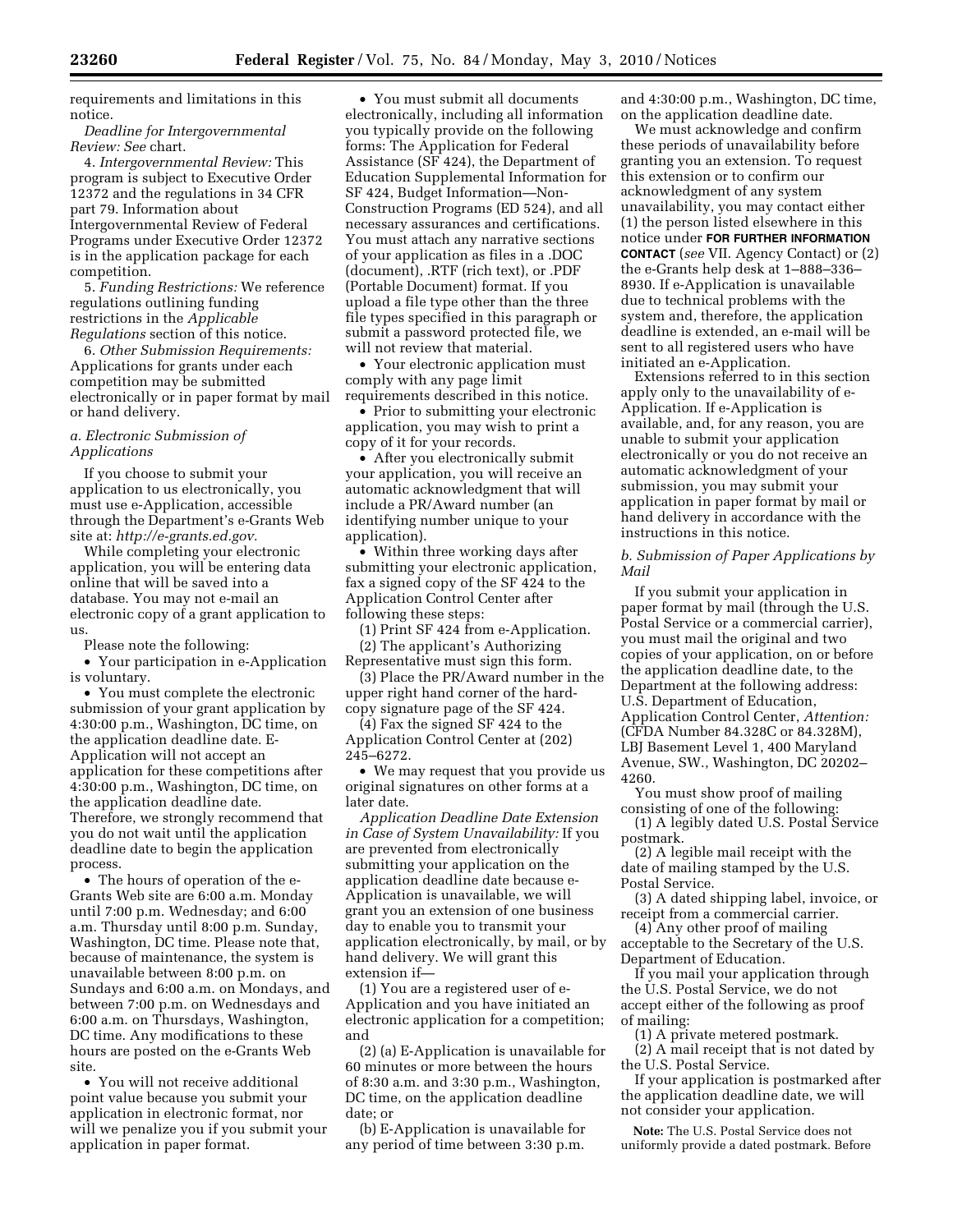requirements and limitations in this notice.

*Deadline for Intergovernmental Review: See* chart.

4. *Intergovernmental Review:* This program is subject to Executive Order 12372 and the regulations in 34 CFR part 79. Information about Intergovernmental Review of Federal Programs under Executive Order 12372 is in the application package for each competition.

5. *Funding Restrictions:* We reference regulations outlining funding restrictions in the *Applicable Regulations* section of this notice.

6. *Other Submission Requirements:*  Applications for grants under each competition may be submitted electronically or in paper format by mail or hand delivery.

## *a. Electronic Submission of Applications*

If you choose to submit your application to us electronically, you must use e-Application, accessible through the Department's e-Grants Web site at: *http://e-grants.ed.gov.* 

While completing your electronic application, you will be entering data online that will be saved into a database. You may not e-mail an electronic copy of a grant application to us.

Please note the following:

• Your participation in e-Application is voluntary.

• You must complete the electronic submission of your grant application by 4:30:00 p.m., Washington, DC time, on the application deadline date. E-Application will not accept an application for these competitions after 4:30:00 p.m., Washington, DC time, on the application deadline date. Therefore, we strongly recommend that you do not wait until the application deadline date to begin the application process.

• The hours of operation of the e-Grants Web site are 6:00 a.m. Monday until 7:00 p.m. Wednesday; and 6:00 a.m. Thursday until 8:00 p.m. Sunday, Washington, DC time. Please note that, because of maintenance, the system is unavailable between 8:00 p.m. on Sundays and 6:00 a.m. on Mondays, and between 7:00 p.m. on Wednesdays and 6:00 a.m. on Thursdays, Washington, DC time. Any modifications to these hours are posted on the e-Grants Web site.

• You will not receive additional point value because you submit your application in electronic format, nor will we penalize you if you submit your application in paper format.

• You must submit all documents electronically, including all information you typically provide on the following forms: The Application for Federal Assistance (SF 424), the Department of Education Supplemental Information for SF 424, Budget Information—Non-Construction Programs (ED 524), and all necessary assurances and certifications. You must attach any narrative sections of your application as files in a .DOC (document), .RTF (rich text), or .PDF (Portable Document) format. If you upload a file type other than the three file types specified in this paragraph or submit a password protected file, we will not review that material.

• Your electronic application must comply with any page limit requirements described in this notice.

• Prior to submitting your electronic application, you may wish to print a copy of it for your records.

• After you electronically submit your application, you will receive an automatic acknowledgment that will include a PR/Award number (an identifying number unique to your application).

• Within three working days after submitting your electronic application, fax a signed copy of the SF 424 to the Application Control Center after following these steps:

(1) Print SF 424 from e-Application. (2) The applicant's Authorizing

Representative must sign this form. (3) Place the PR/Award number in the

upper right hand corner of the hardcopy signature page of the SF 424.

(4) Fax the signed SF 424 to the Application Control Center at (202) 245–6272.

• We may request that you provide us original signatures on other forms at a later date.

*Application Deadline Date Extension in Case of System Unavailability:* If you are prevented from electronically submitting your application on the application deadline date because e-Application is unavailable, we will grant you an extension of one business day to enable you to transmit your application electronically, by mail, or by hand delivery. We will grant this extension if—

(1) You are a registered user of e-Application and you have initiated an electronic application for a competition; and

(2) (a) E-Application is unavailable for 60 minutes or more between the hours of 8:30 a.m. and 3:30 p.m., Washington, DC time, on the application deadline date; or

(b) E-Application is unavailable for any period of time between 3:30 p.m.

and 4:30:00 p.m., Washington, DC time, on the application deadline date.

We must acknowledge and confirm these periods of unavailability before granting you an extension. To request this extension or to confirm our acknowledgment of any system unavailability, you may contact either (1) the person listed elsewhere in this notice under **FOR FURTHER INFORMATION CONTACT** (*see* VII. Agency Contact) or (2) the e-Grants help desk at 1–888–336– 8930. If e-Application is unavailable due to technical problems with the system and, therefore, the application deadline is extended, an e-mail will be sent to all registered users who have initiated an e-Application.

Extensions referred to in this section apply only to the unavailability of e-Application. If e-Application is available, and, for any reason, you are unable to submit your application electronically or you do not receive an automatic acknowledgment of your submission, you may submit your application in paper format by mail or hand delivery in accordance with the instructions in this notice.

## *b. Submission of Paper Applications by Mail*

If you submit your application in paper format by mail (through the U.S. Postal Service or a commercial carrier), you must mail the original and two copies of your application, on or before the application deadline date, to the Department at the following address: U.S. Department of Education, Application Control Center, *Attention:*  (CFDA Number 84.328C or 84.328M), LBJ Basement Level 1, 400 Maryland Avenue, SW., Washington, DC 20202– 4260.

You must show proof of mailing consisting of one of the following:

(1) A legibly dated U.S. Postal Service postmark.

(2) A legible mail receipt with the date of mailing stamped by the U.S. Postal Service.

(3) A dated shipping label, invoice, or receipt from a commercial carrier.

(4) Any other proof of mailing acceptable to the Secretary of the U.S. Department of Education.

If you mail your application through the U.S. Postal Service, we do not accept either of the following as proof of mailing:

(1) A private metered postmark.

(2) A mail receipt that is not dated by the U.S. Postal Service.

If your application is postmarked after the application deadline date, we will not consider your application.

**Note:** The U.S. Postal Service does not uniformly provide a dated postmark. Before